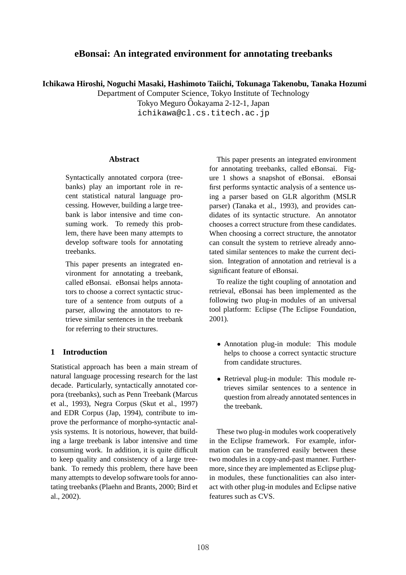# **eBonsai: An integrated environment for annotating treebanks**

**Ichikawa Hiroshi, Noguchi Masaki, Hashimoto Taiichi, Tokunaga Takenobu, Tanaka Hozumi**

Department of Computer Science, Tokyo Institute of Technology

Tokyo Meguro Ôokayama 2-12-1, Japan

ichikawa@cl.cs.titech.ac.jp

#### **Abstract**

Syntactically annotated corpora (treebanks) play an important role in recent statistical natural language processing. However, building a large treebank is labor intensive and time consuming work. To remedy this problem, there have been many attempts to develop software tools for annotating treebanks.

This paper presents an integrated environment for annotating a treebank, called eBonsai. eBonsai helps annotators to choose a correct syntactic structure of a sentence from outputs of a parser, allowing the annotators to retrieve similar sentences in the treebank for referring to their structures.

## **1 Introduction**

Statistical approach has been a main stream of natural language processing research for the last decade. Particularly, syntactically annotated corpora (treebanks), such as Penn Treebank (Marcus et al., 1993), Negra Corpus (Skut et al., 1997) and EDR Corpus (Jap, 1994), contribute to improve the performance of morpho-syntactic analysis systems. It is notorious, however, that building a large treebank is labor intensive and time consuming work. In addition, it is quite difficult to keep quality and consistency of a large treebank. To remedy this problem, there have been many attempts to develop software tools for annotating treebanks (Plaehn and Brants, 2000; Bird et al., 2002).

This paper presents an integrated environment for annotating treebanks, called eBonsai. Figure 1 shows a snapshot of eBonsai. eBonsai first performs syntactic analysis of a sentence using a parser based on GLR algorithm (MSLR parser) (Tanaka et al., 1993), and provides candidates of its syntactic structure. An annotator chooses a correct structure from these candidates. When choosing a correct structure, the annotator can consult the system to retrieve already annotated similar sentences to make the current decision. Integration of annotation and retrieval is a significant feature of eBonsai.

To realize the tight coupling of annotation and retrieval, eBonsai has been implemented as the following two plug-in modules of an universal tool platform: Eclipse (The Eclipse Foundation, 2001).

- Annotation plug-in module: This module helps to choose a correct syntactic structure from candidate structures.
- *•* Retrieval plug-in module: This module retrieves similar sentences to a sentence in question from already annotated sentences in the treebank.

These two plug-in modules work cooperatively in the Eclipse framework. For example, information can be transferred easily between these two modules in a copy-and-past manner. Furthermore, since they are implemented as Eclipse plugin modules, these functionalities can also interact with other plug-in modules and Eclipse native features such as CVS.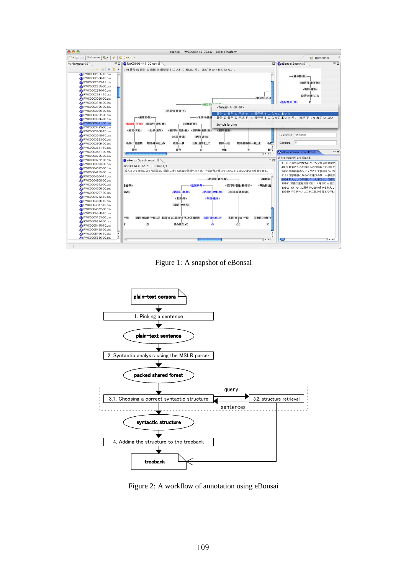

Figure 1: A snapshot of eBonsai



Figure 2: A workflow of annotation using eBonsai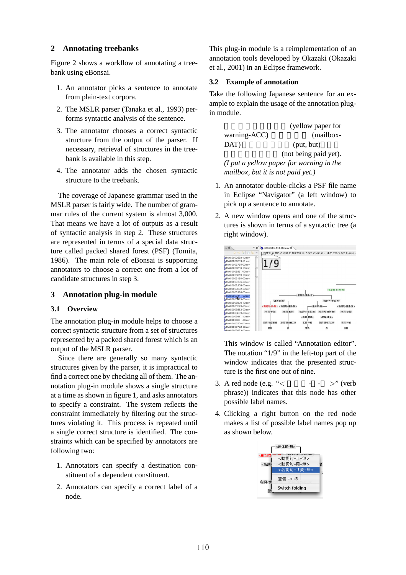### **2 Annotating treebanks**

Figure 2 shows a workflow of annotating a treebank using eBonsai.

- 1. An annotator picks a sentence to annotate from plain-text corpora.
- 2. The MSLR parser (Tanaka et al., 1993) performs syntactic analysis of the sentence.
- 3. The annotator chooses a correct syntactic structure from the output of the parser. If necessary, retrieval of structures in the treebank is available in this step.
- 4. The annotator adds the chosen syntactic structure to the treebank.

The coverage of Japanese grammar used in the MSLR parser is fairly wide. The number of grammar rules of the current system is almost 3,000. That means we have a lot of outputs as a result of syntactic analysis in step 2. These structures are represented in terms of a special data structure called packed shared forest (PSF) (Tomita, 1986). The main role of eBonsai is supporting annotators to choose a correct one from a lot of candidate structures in step 3.

## **3 Annotation plug-in module**

#### **3.1 Overview**

The annotation plug-in module helps to choose a correct syntactic structure from a set of structures represented by a packed shared forest which is an output of the MSLR parser.

Since there are generally so many syntactic structures given by the parser, it is impractical to find a correct one by checking all of them. The annotation plug-in module shows a single structure at a time as shown in figure 1, and asks annotators to specify a constraint. The system reflects the constraint immediately by filtering out the structures violating it. This process is repeated until a single correct structure is identified. The constraints which can be specified by annotators are following two:

- 1. Annotators can specify a destination constituent of a dependent constituent.
- 2. Annotators can specify a correct label of a node.

This plug-in module is a reimplementation of an annotation tools developed by Okazaki (Okazaki et al., 2001) in an Eclipse framework.

### **3.2 Example of annotation**

Take the following Japanese sentence for an example to explain the usage of the annotation plugin module.

(yellow paper for warning-ACC) (mailbox-DAT) (put, but) (not being paid yet). *(I put a yellow paper for warning in the mailbox, but it is not paid yet.)*

- 1. An annotator double-clicks a PSF file name in Eclipse "Navigator" (a left window) to pick up a sentence to annotate.
- 2. A new window opens and one of the structures is shown in terms of a syntactic tree (a right window).



This window is called "Annotation editor". The notation "1/9" in the left-top part of the window indicates that the presented structure is the first one out of nine.

- 3. A red node (e.g. "*<* 動詞句- *>*" (verb phrase)) indicates that this node has other possible label names.
- 4. Clicking a right button on the red node makes a list of possible label names pop up as shown below.

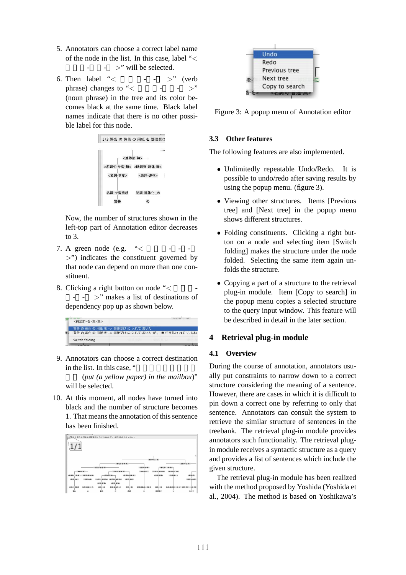- 5. Annotators can choose a correct label name of the node in the list. In this case, label "*<* - ><sup>"</sup> will be selected.
- 6. Then label "<  $\cdot$   $\cdot$   $\cdot$   $\cdot$  (verb) phrase) changes to " $\lt$  -  $\lt$   $\gt$ " (noun phrase) in the tree and its color becomes black at the same time. Black label names indicate that there is no other possible label for this node.



Now, the number of structures shown in the left-top part of Annotation editor decreases to 3.

- 7. A green node (e.g.  $\le$ *>*") indicates the constituent governed by that node can depend on more than one constituent.
- 8. Clicking a right button on node "< - - *>*" makes a list of destinations of dependency pop up as shown below.



9. Annotators can choose a correct destination in the list. In this case, "

(put (a yellow paper) in the mailbox)" will be selected.

10. At this moment, all nodes have turned into black and the number of structure becomes 1. That means the annotation of this sentence has been finished.





Figure 3: A popup menu of Annotation editor

## **3.3 Other features**

The following features are also implemented.

- *•* Unlimitedly repeatable Undo/Redo. It is possible to undo/redo after saving results by using the popup menu. (figure 3).
- Viewing other structures. Items [Previous] tree] and [Next tree] in the popup menu shows different structures.
- *•* Folding constituents. Clicking a right button on a node and selecting item [Switch folding] makes the structure under the node folded. Selecting the same item again unfolds the structure.
- Copying a part of a structure to the retrieval plug-in module. Item [Copy to search] in the popup menu copies a selected structure to the query input window. This feature will be described in detail in the later section.

# **4 Retrieval plug-in module**

#### **4.1 Overview**

During the course of annotation, annotators usually put constraints to narrow down to a correct structure considering the meaning of a sentence. However, there are cases in which it is difficult to pin down a correct one by referring to only that sentence. Annotators can consult the system to retrieve the similar structure of sentences in the treebank. The retrieval plug-in module provides annotators such functionality. The retrieval plugin module receives a syntactic structure as a query and provides a list of sentences which include the given structure.

The retrieval plug-in module has been realized with the method proposed by Yoshida (Yoshida et al., 2004). The method is based on Yoshikawa's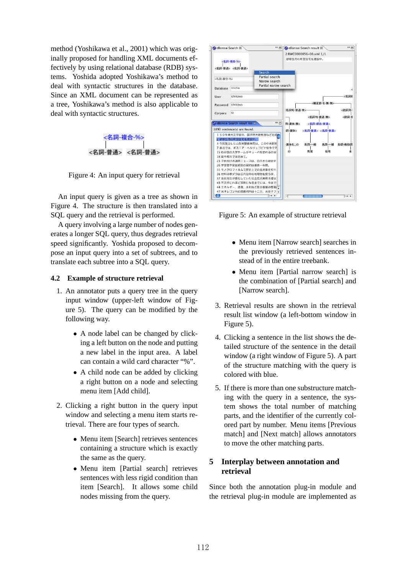method (Yoshikawa et al., 2001) which was originally proposed for handling XML documents effectively by using relational database (RDB) systems. Yoshida adopted Yoshikawa's method to deal with syntactic structures in the database. Since an XML document can be represented as a tree, Yoshikawa's method is also applicable to deal with syntactic structures.



Figure 4: An input query for retrieval

An input query is given as a tree as shown in Figure 4. The structure is then translated into a SQL query and the retrieval is performed.

A query involving a large number of nodes generates a longer SQL query, thus degrades retrieval speed significantly. Yoshida proposed to decompose an input query into a set of subtrees, and to translate each subtree into a SQL query.

### **4.2 Example of structure retrieval**

- 1. An annotator puts a query tree in the query input window (upper-left window of Figure 5). The query can be modified by the following way.
	- A node label can be changed by clicking a left button on the node and putting a new label in the input area. A label can contain a wild card character "%".
	- A child node can be added by clicking a right button on a node and selecting menu item [Add child].
- 2. Clicking a right button in the query input window and selecting a menu item starts retrieval. There are four types of search.
	- Menu item [Search] retrieves sentences containing a structure which is exactly the same as the query.
	- Menu item [Partial search] retrieves sentences with less rigid condition than item [Search]. It allows some child nodes missing from the query.



Figure 5: An example of structure retrieval

- Menu item [Narrow search] searches in the previously retrieved sentences instead of in the entire treebank.
- Menu item [Partial narrow search] is the combination of [Partial search] and [Narrow search].
- 3. Retrieval results are shown in the retrieval result list window (a left-bottom window in Figure 5).
- 4. Clicking a sentence in the list shows the detailed structure of the sentence in the detail window (a right window of Figure 5). A part of the structure matching with the query is colored with blue.
- 5. If there is more than one substructure matching with the query in a sentence, the system shows the total number of matching parts, and the identifier of the currently colored part by number. Menu items [Previous match] and [Next match] allows annotators to move the other matching parts.

## **5 Interplay between annotation and retrieval**

Since both the annotation plug-in module and the retrieval plug-in module are implemented as